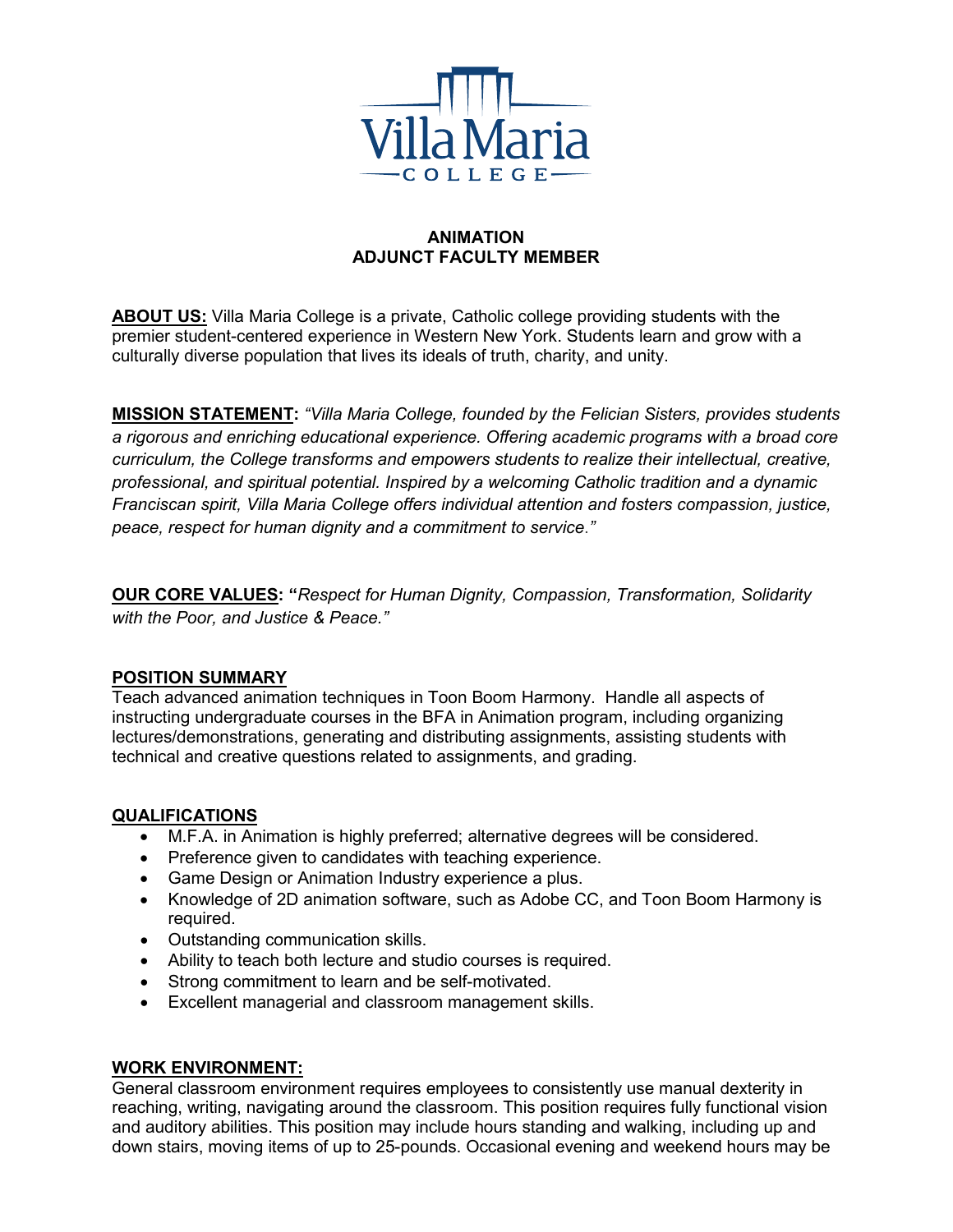

## **ANIMATION ADJUNCT FACULTY MEMBER**

**ABOUT US:** Villa Maria College is a private, Catholic college providing students with the premier student-centered experience in Western New York. Students learn and grow with a culturally diverse population that lives its ideals of truth, charity, and unity.

**MISSION STATEMENT:** *"Villa Maria College, founded by the Felician Sisters, provides students a rigorous and enriching educational experience. Offering academic programs with a broad core curriculum, the College transforms and empowers students to realize their intellectual, creative, professional, and spiritual potential. Inspired by a welcoming Catholic tradition and a dynamic Franciscan spirit, Villa Maria College offers individual attention and fosters compassion, justice, peace, respect for human dignity and a commitment to service*.*"*

**OUR CORE VALUES: "***Respect for Human Dignity, Compassion, Transformation, Solidarity with the Poor, and Justice & Peace."*

## **POSITION SUMMARY**

Teach advanced animation techniques in Toon Boom Harmony. Handle all aspects of instructing undergraduate courses in the BFA in Animation program, including organizing lectures/demonstrations, generating and distributing assignments, assisting students with technical and creative questions related to assignments, and grading.

# **QUALIFICATIONS**

- M.F.A. in Animation is highly preferred; alternative degrees will be considered.
- Preference given to candidates with teaching experience.
- Game Design or Animation Industry experience a plus.
- Knowledge of 2D animation software, such as Adobe CC, and Toon Boom Harmony is required.
- Outstanding communication skills.
- Ability to teach both lecture and studio courses is required.
- Strong commitment to learn and be self-motivated.
- Excellent managerial and classroom management skills.

# **WORK ENVIRONMENT:**

General classroom environment requires employees to consistently use manual dexterity in reaching, writing, navigating around the classroom. This position requires fully functional vision and auditory abilities. This position may include hours standing and walking, including up and down stairs, moving items of up to 25-pounds. Occasional evening and weekend hours may be